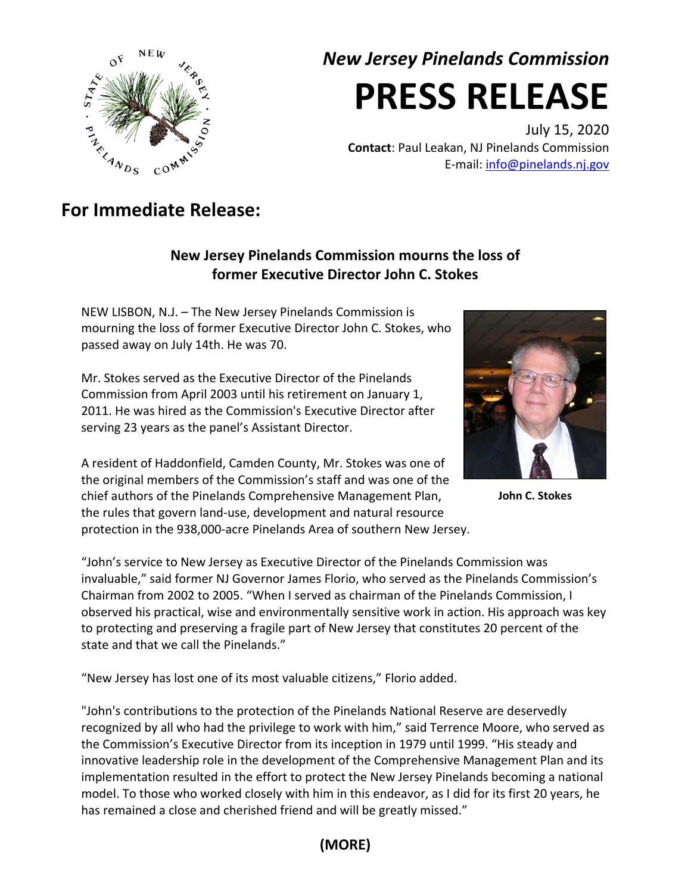

# *New Jersey Pinelands Commission* **PRESS RELEASE**

July 15, 2020 **Contact**: Paul Leakan, NJ Pinelands Commission E-mail: [info@pinelands.nj.gov](mailto:info@pinelands.nj.gov)

## **For Immediate Release:**

#### **New Jersey Pinelands Commission mourns the loss of former Executive Director John C. Stokes**

NEW LISBON, N.J. – The New Jersey Pinelands Commission is mourning the loss of former Executive Director John C. Stokes, who passed away on July 14th. He was 70.

Mr. Stokes served as the Executive Director of the Pinelands Commission from April 2003 until his retirement on January 1, 2011. He was hired as the Commission's Executive Director after serving 23 years as the panel's Assistant Director.

A resident of Haddonfield, Camden County, Mr. Stokes was one of the original members of the Commission's staff and was one of the chief authors of the Pinelands Comprehensive Management Plan, the rules that govern land-use, development and natural resource protection in the 938,000-acre Pinelands Area of southern New Jersey.

**John C. Stokes**

"John's service to New Jersey as Executive Director of the Pinelands Commission was invaluable," said former NJ Governor James Florio, who served as the Pinelands Commission's Chairman from 2002 to 2005. "When I served as chairman of the Pinelands Commission, I observed his practical, wise and environmentally sensitive work in action. His approach was key to protecting and preserving a fragile part of New Jersey that constitutes 20 percent of the state and that we call the Pinelands."

"New Jersey has lost one of its most valuable citizens," Florio added.

"John's contributions to the protection of the Pinelands National Reserve are deservedly recognized by all who had the privilege to work with him," said Terrence Moore, who served as the Commission's Executive Director from its inception in 1979 until 1999. "His steady and innovative leadership role in the development of the Comprehensive Management Plan and its implementation resulted in the effort to protect the New Jersey Pinelands becoming a national model. To those who worked closely with him in this endeavor, as I did for its first 20 years, he has remained a close and cherished friend and will be greatly missed."

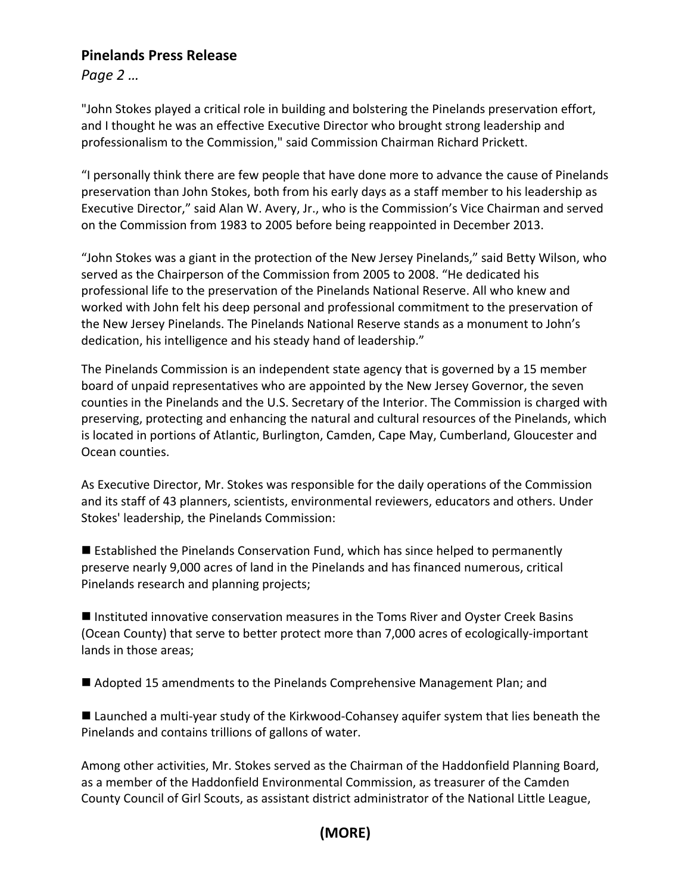#### **Pinelands Press Release**

*Page 2 …*

"John Stokes played a critical role in building and bolstering the Pinelands preservation effort, and I thought he was an effective Executive Director who brought strong leadership and professionalism to the Commission," said Commission Chairman Richard Prickett.

"I personally think there are few people that have done more to advance the cause of Pinelands preservation than John Stokes, both from his early days as a staff member to his leadership as Executive Director," said Alan W. Avery, Jr., who is the Commission's Vice Chairman and served on the Commission from 1983 to 2005 before being reappointed in December 2013.

"John Stokes was a giant in the protection of the New Jersey Pinelands," said Betty Wilson, who served as the Chairperson of the Commission from 2005 to 2008. "He dedicated his professional life to the preservation of the Pinelands National Reserve. All who knew and worked with John felt his deep personal and professional commitment to the preservation of the New Jersey Pinelands. The Pinelands National Reserve stands as a monument to John's dedication, his intelligence and his steady hand of leadership."

The Pinelands Commission is an independent state agency that is governed by a 15 member board of unpaid representatives who are appointed by the New Jersey Governor, the seven counties in the Pinelands and the U.S. Secretary of the Interior. The Commission is charged with preserving, protecting and enhancing the natural and cultural resources of the Pinelands, which is located in portions of Atlantic, Burlington, Camden, Cape May, Cumberland, Gloucester and Ocean counties.

As Executive Director, Mr. Stokes was responsible for the daily operations of the Commission and its staff of 43 planners, scientists, environmental reviewers, educators and others. Under Stokes' leadership, the Pinelands Commission:

 Established the Pinelands Conservation Fund, which has since helped to permanently preserve nearly 9,000 acres of land in the Pinelands and has financed numerous, critical Pinelands research and planning projects;

■ Instituted innovative conservation measures in the Toms River and Oyster Creek Basins (Ocean County) that serve to better protect more than 7,000 acres of ecologically-important lands in those areas;

■ Adopted 15 amendments to the Pinelands Comprehensive Management Plan; and

 Launched a multi-year study of the Kirkwood-Cohansey aquifer system that lies beneath the Pinelands and contains trillions of gallons of water.

Among other activities, Mr. Stokes served as the Chairman of the Haddonfield Planning Board, as a member of the Haddonfield Environmental Commission, as treasurer of the Camden County Council of Girl Scouts, as assistant district administrator of the National Little League,

### **(MORE)**